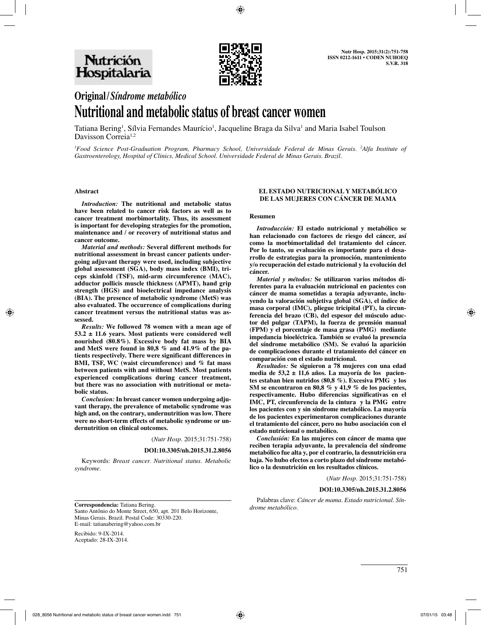

# **Original/***Síndrome metabólico* **Nutritional and metabolic status of breast cancer women**

Tatiana Bering<sup>1</sup>, Sílvia Fernandes Maurício<sup>1</sup>, Jacqueline Braga da Silva<sup>1</sup> and Maria Isabel Toulson Davisson Correia<sup>1,2</sup>

*1 Food Science Post-Graduation Program, Pharmacy School, Universidade Federal de Minas Gerais. 2 Alfa Institute of Gastroenterology, Hospital of Clinics, Medical School. Universidade Federal de Minas Gerais. Brazil.*

#### **Abstract**

*Introduction:* **The nutritional and metabolic status have been related to cancer risk factors as well as to cancer treatment morbimortality. Thus, its assessment is important for developing strategies for the promotion, maintenance and / or recovery of nutritional status and cancer outcome.**

*Material and methods:* **Several different methods for nutritional assessment in breast cancer patients undergoing adjuvant therapy were used, including subjective global assessment (SGA), body mass index (BMI), triceps skinfold (TSF), mid-arm circumference (MAC), adductor pollicis muscle thickness (APMT), hand grip strength (HGS) and bioelectrical impedance analysis (BIA). The presence of metabolic syndrome (MetS) was also evaluated. The occurrence of complications during cancer treatment versus the nutritional status was assessed.**

*Results:* **We followed 78 women with a mean age of 53.2 ± 11.6 years. Most patients were considered well nourished (80.8%). Excessive body fat mass by BIA and MetS were found in 80,8 % and 41.9% of the patients respectively. There were significant differences in BMI, TSF, WC (waist circumference) and % fat mass between patients with and without MetS. Most patients experienced complications during cancer treatment, but there was no association with nutritional or metabolic status.**

*Conclusion:* **In breast cancer women undergoing adjuvant therapy, the prevalence of metabolic syndrome was high and, on the contrary, undernutrition was low. There were no short-term effects of metabolic syndrome or undernutrition on clinical outcomes.**

(*Nutr Hosp.* 2015;31:751-758)

#### **DOI:10.3305/nh.2015.31.2.8056**

Keywords: *Breast cancer. Nutritional status. Metabolic syndrome.*

#### **EL ESTADO NUTRICIONAL Y METABÓLICO DE LAS MUJERES CON CÁNCER DE MAMA**

#### **Resumen**

*Introducción:* **El estado nutricional y metabólico se han relacionado con factores de riesgo del cáncer, así como la morbimortalidad del tratamiento del cáncer. Por lo tanto, su evaluación es importante para el desarrollo de estrategias para la promoción, mantenimiento y/o recuperación del estado nutricional y la evolución del cáncer.** 

*Material y métodos:* **Se utilizaron varios métodos diferentes para la evaluación nutricional en pacientes con cáncer de mama sometidas a terapia adyuvante, incluyendo la valoración subjetiva global (SGA), el índice de masa corporal (IMC), pliegue tricipital (PT), la circunferencia del brazo (CB), del espesor del músculo aductor del pulgar (TAPM), la fuerza de prensión manual (FPM) y el porcentaje de masa grasa (PMG) mediante impedancia bioeléctrica. También se evaluó la presencia del síndrome metabólico (SM). Se evaluó la aparición de complicaciones durante el tratamiento del cáncer en comparación con el estado nutricional.** 

*Resultados:* **Se siguieron a 78 mujeres con una edad media de 53,2 ± 11,6 años. La mayoría de los pacientes estaban bien nutridos (80,8 %). Excesiva PMG y los SM se encontraron en 80,8 % y 41,9 % de los pacientes, respectivamente. Hubo diferencias significativas en el IMC, PT, circunferencia de la cintura y la PMG entre los pacientes con y sin síndrome metabólico. La mayoría de los pacientes experimentaron complicaciones durante el tratamiento del cáncer, pero no hubo asociación con el estado nutricional o metabólico.** 

*Conclusión:* **En las mujeres con cáncer de mama que reciben terapia adyuvante, la prevalencia del síndrome metabólico fue alta y, por el contrario, la desnutrición era baja. No hubo efectos a corto plazo del síndrome metabólico o la desnutrición en los resultados clínicos.**

(*Nutr Hosp.* 2015;31:751-758)

#### **DOI:10.3305/nh.2015.31.2.8056**

Palabras clave: *Cáncer de mama. Estado nutricional. Sín-*

*drome metabólico.* **Correspondencia:** Tatiana Bering. Santo Antônio do Monte Street, 650, apt. 201 Belo Horizonte, Minas Gerais. Brazil. Postal Code: 30330-220. E-mail: tatianabering@yahoo.com.br

Recibido: 9-IX-2014. Aceptado: 28-IX-2014.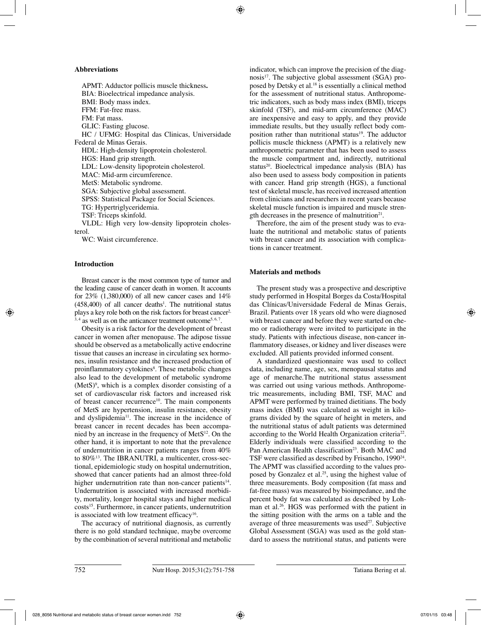## **Abbreviations**

APMT: Adductor pollicis muscle thickness**.** BIA: Bioelectrical impedance analysis. BMI: Body mass index. FFM: Fat-free mass. FM: Fat mass. GLIC: Fasting glucose. HC / UFMG: Hospital das Clinicas, Universidade Federal de Minas Gerais. HDL: High-density lipoprotein cholesterol. HGS: Hand grip strength. LDL: Low-density lipoprotein cholesterol. MAC: Mid-arm circumference. MetS: Metabolic syndrome. SGA: Subjective global assessment. SPSS: Statistical Package for Social Sciences. TG: Hypertriglyceridemia. TSF: Triceps skinfold. VLDL: High very low-density lipoprotein cholesterol.

WC: Waist circumference.

# **Introduction**

Breast cancer is the most common type of tumor and the leading cause of cancer death in women. It accounts for 23% (1,380,000) of all new cancer cases and 14%  $(458,400)$  of all cancer deaths<sup>1</sup>. The nutritional status plays a key role both on the risk factors for breast cancer<sup>2,</sup>  $3,4$  as well as on the anticancer treatment outcome<sup>5, 6, 7</sup>.

Obesity is a risk factor for the development of breast cancer in women after menopause. The adipose tissue should be observed as a metabolically active endocrine tissue that causes an increase in circulating sex hormones, insulin resistance and the increased production of proinflammatory cytokines<sup>8</sup>. These metabolic changes also lead to the development of metabolic syndrome  $(Mets)<sup>9</sup>$ , which is a complex disorder consisting of a set of cardiovascular risk factors and increased risk of breast cancer recurrence<sup>10</sup>. The main components of MetS are hypertension, insulin resistance, obesity and dyslipidemia<sup>11</sup>. The increase in the incidence of breast cancer in recent decades has been accompanied by an increase in the frequency of  $M \text{et}S^{12}$ . On the other hand, it is important to note that the prevalence of undernutrition in cancer patients ranges from 40% to 80%13. The IBRANUTRI, a multicenter, cross-sectional, epidemiologic study on hospital undernutrition, showed that cancer patients had an almost three-fold higher undernutrition rate than non-cancer patients $14$ . Undernutrition is associated with increased morbidity, mortality, longer hospital stays and higher medical costs<sup>15</sup>. Furthermore, in cancer patients, undernutrition is associated with low treatment efficacy<sup>16</sup>.

The accuracy of nutritional diagnosis, as currently there is no gold standard technique, maybe overcome by the combination of several nutritional and metabolic indicator, which can improve the precision of the diagnosis<sup>17</sup>. The subjective global assessment (SGA) proposed by Detsky et al.<sup>18</sup> is essentially a clinical method for the assessment of nutritional status. Anthropometric indicators, such as body mass index (BMI), triceps skinfold (TSF), and mid-arm circumference (MAC) are inexpensive and easy to apply, and they provide immediate results, but they usually reflect body composition rather than nutritional status<sup>19</sup>. The adductor pollicis muscle thickness (APMT) is a relatively new anthropometric parameter that has been used to assess the muscle compartment and, indirectly, nutritional status<sup>20</sup>. Bioelectrical impedance analysis (BIA) has also been used to assess body composition in patients with cancer. Hand grip strength (HGS), a functional test of skeletal muscle, has received increased attention from clinicians and researchers in recent years because skeletal muscle function is impaired and muscle strength decreases in the presence of malnutrition $2<sup>1</sup>$ .

Therefore, the aim of the present study was to evaluate the nutritional and metabolic status of patients with breast cancer and its association with complications in cancer treatment.

## **Materials and methods**

The present study was a prospective and descriptive study performed in Hospital Borges da Costa/Hospital das Clínicas/Universidade Federal de Minas Gerais, Brazil. Patients over 18 years old who were diagnosed with breast cancer and before they were started on chemo or radiotherapy were invited to participate in the study. Patients with infectious disease, non-cancer inflammatory diseases, or kidney and liver diseases were excluded. All patients provided informed consent.

A standardized questionnaire was used to collect data, including name, age, sex, menopausal status and age of menarche.The nutritional status assessment was carried out using various methods. Anthropometric measurements, including BMI, TSF, MAC and APMT were performed by trained dietitians. The body mass index (BMI) was calculated as weight in kilograms divided by the square of height in meters, and the nutritional status of adult patients was determined according to the World Health Organization criteria<sup>22</sup>. Elderly individuals were classified according to the Pan American Health classification<sup>23</sup>. Both MAC and TSF were classified as described by Frisancho, 1990<sup>24</sup>. The APMT was classified according to the values proposed by Gonzalez et al.<sup>25</sup>, using the highest value of three measurements. Body composition (fat mass and fat-free mass) was measured by bioimpedance, and the percent body fat was calculated as described by Lohman et al.26. HGS was performed with the patient in the sitting position with the arms on a table and the average of three measurements was used $27$ . Subjective Global Assessment (SGA) was used as the gold standard to assess the nutritional status, and patients were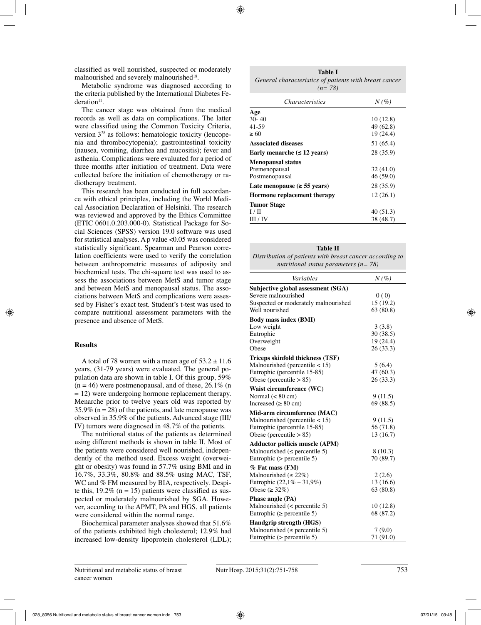classified as well nourished, suspected or moderately malnourished and severely malnourished<sup>18</sup>.

Metabolic syndrome was diagnosed according to the criteria published by the International Diabetes Fe $deration<sup>11</sup>$ .

The cancer stage was obtained from the medical records as well as data on complications. The latter were classified using the Common Toxicity Criteria, version 328 as follows: hematologic toxicity (leucopenia and thrombocytopenia); gastrointestinal toxicity (nausea, vomiting, diarrhea and mucositis); fever and asthenia. Complications were evaluated for a period of three months after initiation of treatment. Data were collected before the initiation of chemotherapy or radiotherapy treatment.

This research has been conducted in full accordance with ethical principles, including the World Medical Association Declaration of Helsinki. The research was reviewed and approved by the Ethics Committee (ETIC 0601.0.203.000-0). Statistical Package for Social Sciences (SPSS) version 19.0 software was used for statistical analyses. A p value <0.05 was considered statistically significant. Spearman and Pearson correlation coefficients were used to verify the correlation between anthropometric measures of adiposity and biochemical tests. The chi-square test was used to assess the associations between MetS and tumor stage and between MetS and menopausal status. The associations between MetS and complications were assessed by Fisher's exact test. Student's t-test was used to compare nutritional assessment parameters with the presence and absence of MetS.

## **Results**

A total of 78 women with a mean age of  $53.2 \pm 11.6$ years, (31-79 years) were evaluated. The general population data are shown in table I. Of this group, 59%  $(n = 46)$  were postmenopausal, and of these, 26.1% (n  $= 12$ ) were undergoing hormone replacement therapy. Menarche prior to twelve years old was reported by 35.9% ( $n = 28$ ) of the patients, and late menopause was observed in 35.9% of the patients. Advanced stage (III/ IV) tumors were diagnosed in 48.7% of the patients.

The nutritional status of the patients as determined using different methods is shown in table II. Most of the patients were considered well nourished, independently of the method used. Excess weight (overweight or obesity) was found in 57.7% using BMI and in 16.7%, 33.3%, 80.8% and 88.5% using MAC, TSF, WC and % FM measured by BIA, respectively. Despite this,  $19.2\%$  (n = 15) patients were classified as suspected or moderately malnourished by SGA. However, according to the APMT, PA and HGS, all patients were considered within the normal range.

Biochemical parameter analyses showed that 51.6% of the patients exhibited high cholesterol; 12.9% had increased low-density lipoprotein cholesterol (LDL);

| <b>Table I</b>                                         |  |  |  |
|--------------------------------------------------------|--|--|--|
| General characteristics of patients with breast cancer |  |  |  |
| $(n=78)$                                               |  |  |  |

| <i>Characteristics</i>                   | $N(\%)$   |
|------------------------------------------|-----------|
| Age                                      |           |
| $30 - 40$                                | 10(12.8)  |
| 41-59                                    | 49 (62.8) |
| $\geq 60$                                | 19(24.4)  |
| <b>Associated diseases</b>               | 51 (65.4) |
| Early menarche $(\leq 12 \text{ years})$ | 28 (35.9) |
| <b>Menopausal status</b>                 |           |
| Premenopausal                            | 32(41.0)  |
| Postmenopausal                           | 46(59.0)  |
| Late menopause ( $\geq$ 55 years)        | 28 (35.9) |
| Hormone replacement therapy              | 12(26.1)  |
| <b>Tumor Stage</b>                       |           |
| $1/\Pi$                                  | 40(51.3)  |
| III / IV                                 | 38 (48.7) |

| <b>Table II</b>                                          |  |  |  |  |
|----------------------------------------------------------|--|--|--|--|
| Distribution of patients with breast cancer according to |  |  |  |  |
| nutritional status parameters ( $n = 78$ )               |  |  |  |  |

| Variables                             | $N(\%)$   |
|---------------------------------------|-----------|
| Subjective global assessment (SGA)    |           |
| Severe malnourished                   | 0(0)      |
| Suspected or moderately malnourished  | 15(19.2)  |
| Well nourished                        | 63(80.8)  |
| <b>Body mass index (BMI)</b>          |           |
| Low weight                            | 3(3.8)    |
| Eutrophic                             | 30 (38.5) |
| Overweight                            | 19 (24.4) |
| Obese                                 | 26 (33.3) |
| Triceps skinfold thickness (TSF)      |           |
| Malnourished (percentile $< 15$ )     | 5(6.4)    |
| Eutrophic (percentile 15-85)          | 47 (60.3) |
| Obese (percentile $> 85$ )            | 26(33.3)  |
| Waist circumference (WC)              |           |
| Normal $(< 80 \text{ cm})$            | 9(11.5)   |
| Increased ( $\geq 80$ cm)             | 69 (88.5) |
| Mid-arm circumference (MAC)           |           |
| Malnourished (percentile < 15)        | 9(11.5)   |
| Eutrophic (percentile 15-85)          | 56 (71.8) |
| Obese (percentile $> 85$ )            | 13 (16.7) |
| <b>Adductor pollicis muscle (APM)</b> |           |
| Malnourished ( $\leq$ percentile 5)   | 8(10.3)   |
| Eutrophic $($ percentile 5 $)$        | 70 (89.7) |
| % Fat mass (FM)                       |           |
| Malnourished ( $\leq$ 22%)            | 2(2.6)    |
| Eutrophic $(22,1\% - 31,9\%)$         | 13 (16.6) |
| Obese ( $\geq$ 32%)                   | 63(80.8)  |
| Phase angle (PA)                      |           |
| Malnourished $(<$ percentile 5)       | 10(12.8)  |
| Eutrophic ( $\ge$ percentile 5)       | 68 (87.2) |
| Handgrip strength (HGS)               |           |
| Malnourished ( $\leq$ percentile 5)   | 7(9.0)    |
| Eutrophic $($ percentile 5 $)$        | 71 (91.0) |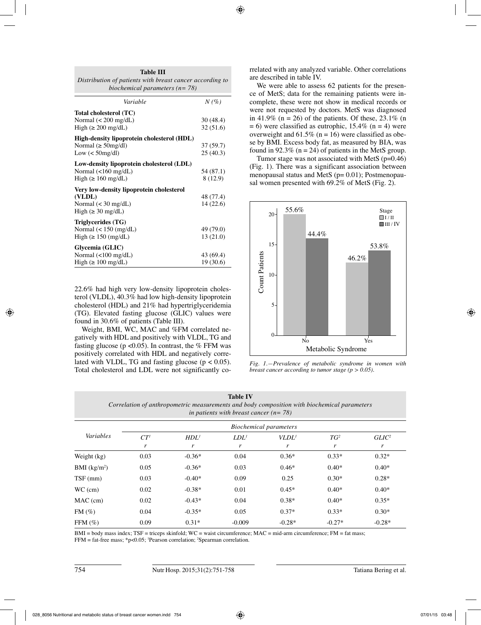| Distribution of patients with breast cancer according to<br>biochemical parameters ( $n = 78$ ) |           |
|-------------------------------------------------------------------------------------------------|-----------|
| Variable                                                                                        | $N(\%)$   |
| Total cholesterol (TC)                                                                          |           |
| Normal $(< 200$ mg/dL)                                                                          | 30(48.4)  |
| High ( $\geq 200$ mg/dL)                                                                        | 32 (51.6) |
| High-density lipoprotein cholesterol (HDL)                                                      |           |
| Normal ( $\geq$ 50mg/dl)                                                                        | 37 (59.7) |
| Low $(50 \text{mg/dl})$                                                                         | 25(40.3)  |
| Low-density lipoprotein cholesterol (LDL)                                                       |           |
| Normal $\left($ <160 mg/dL)                                                                     | 54 (87.1) |
| High ( $\geq 160$ mg/dL)                                                                        | 8 (12.9)  |
| Very low-density lipoprotein cholesterol                                                        |           |
| (VLDL)                                                                                          | 48 (77.4) |
| Normal $(< 30$ mg/dL)                                                                           | 14 (22.6) |
| High $(\geq 30 \text{ mg/dL})$                                                                  |           |
| Triglycerides (TG)                                                                              |           |
| Normal $(< 150 \ (mg/dL)$                                                                       | 49 (79.0) |
| High ( $\geq 150$ (mg/dL)                                                                       | 13 (21.0) |
| Glycemia (GLIC)                                                                                 |           |
| Normal $\left($ < 100 mg/dL)                                                                    | 43 (69.4) |
| High ( $\geq 100$ mg/dL)                                                                        | 19(30.6)  |

**Table III**

22.6% had high very low-density lipoprotein cholesterol (VLDL), 40.3% had low high-density lipoprotein cholesterol (HDL) and 21% had hypertriglyceridemia (TG). Elevated fasting glucose (GLIC) values were found in 30.6% of patients (Table III).

Weight, BMI, WC, MAC and %FM correlated negatively with HDL and positively with VLDL, TG and fasting glucose ( $p \le 0.05$ ). In contrast, the % FFM was positively correlated with HDL and negatively correlated with VLDL, TG and fasting glucose ( $p < 0.05$ ). Total cholesterol and LDL were not significantly correlated with any analyzed variable. Other correlations are described in table IV.

We were able to assess 62 patients for the presence of MetS; data for the remaining patients were incomplete, these were not show in medical records or were not requested by doctors. MetS was diagnosed in 41.9% (n = 26) of the patients. Of these,  $23.1\%$  (n  $= 6$ ) were classified as eutrophic, 15.4% (n = 4) were overweight and  $61.5\%$  (n = 16) were classified as obese by BMI. Excess body fat, as measured by BIA, was found in 92.3% ( $n = 24$ ) of patients in the MetS group.

Tumor stage was not associated with MetS  $(p=0.46)$ (Fig. 1). There was a significant association between menopausal status and MetS (p= 0.01); Postmenopausal women presented with 69.2% of MetS (Fig. 2).



*Fig. 1.—Prevalence of metabolic syndrome in women with breast cancer according to tumor stage (p > 0.05).*

| <b>Table IV</b><br>Correlation of anthropometric measurements and body composition with biochemical parameters<br>in patients with breast cancer ( $n = 78$ ) |                 |                  |          |                               |          |                   |
|---------------------------------------------------------------------------------------------------------------------------------------------------------------|-----------------|------------------|----------|-------------------------------|----------|-------------------|
|                                                                                                                                                               |                 |                  |          | <b>Biochemical parameters</b> |          |                   |
| Variables                                                                                                                                                     | CT <sup>1</sup> | HDL <sup>1</sup> | $LDL^1$  | VLDL <sup>1</sup>             | $TG^2$   | GLIC <sup>2</sup> |
|                                                                                                                                                               | r               | r                | r        | r                             | r        | r                 |
| Weight (kg)                                                                                                                                                   | 0.03            | $-0.36*$         | 0.04     | $0.36*$                       | $0.33*$  | $0.32*$           |
| BMI $(kg/m2)$                                                                                                                                                 | 0.05            | $-0.36*$         | 0.03     | $0.46*$                       | $0.40*$  | $0.40*$           |
| $TSF$ (mm)                                                                                                                                                    | 0.03            | $-0.40*$         | 0.09     | 0.25                          | $0.30*$  | $0.28*$           |
| $WC$ (cm)                                                                                                                                                     | 0.02            | $-0.38*$         | 0.01     | $0.45*$                       | $0.40*$  | $0.40*$           |
| $MAC$ (cm)                                                                                                                                                    | 0.02            | $-0.43*$         | 0.04     | $0.38*$                       | $0.40*$  | $0.35*$           |
| FM(%)                                                                                                                                                         | 0.04            | $-0.35*$         | 0.05     | $0.37*$                       | $0.33*$  | $0.30*$           |
| FFM $(\% )$                                                                                                                                                   | 0.09            | $0.31*$          | $-0.009$ | $-0.28*$                      | $-0.27*$ | $-0.28*$          |

 $BMI = body$  mass index;  $TSF =$  triceps skinfold;  $WC =$  waist circumference;  $MAC = mid$ -arm circumference;  $FM =$  fat mass; FFM = fat-free mass; \*p<0.05; 1 Pearson correlation; 2 Spearman correlation.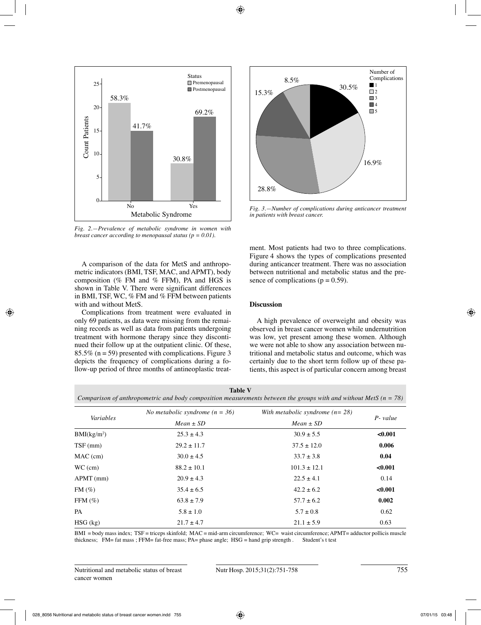

*Fig. 2.—Prevalence of metabolic syndrome in women with breast cancer according to menopausal status (p = 0.01).*

A comparison of the data for MetS and anthropometric indicators (BMI, TSF, MAC, and APMT), body composition (% FM and % FFM), PA and HGS is shown in Table V. There were significant differences in BMI, TSF, WC, % FM and % FFM between patients with and without MetS.

Complications from treatment were evaluated in only 69 patients, as data were missing from the remaining records as well as data from patients undergoing treatment with hormone therapy since they discontinued their follow up at the outpatient clinic. Of these,  $85.5\%$  (n = 59) presented with complications. Figure 3 depicts the frequency of complications during a follow-up period of three months of antineoplastic treat-



*Fig. 3.—Number of complications during anticancer treatment in patients with breast cancer.*

ment. Most patients had two to three complications. Figure 4 shows the types of complications presented during anticancer treatment. There was no association between nutritional and metabolic status and the presence of complications ( $p = 0.59$ ).

# **Discussion**

A high prevalence of overweight and obesity was observed in breast cancer women while undernutrition was low, yet present among these women. Although we were not able to show any association between nutritional and metabolic status and outcome, which was certainly due to the short term follow up of these patients, this aspect is of particular concern among breast

| Table V                                                                                                              |
|----------------------------------------------------------------------------------------------------------------------|
| Comparison of anthropometric and body composition measurements between the groups with and without MetS ( $n = 78$ ) |

|                         | No metabolic syndrome $(n = 36)$ | With metabolic syndrome $(n=28)$ |             |  |
|-------------------------|----------------------------------|----------------------------------|-------------|--|
| Variables               | $Mean \pm SD$                    | $Mean \pm SD$                    | $P$ - value |  |
| BMI(kg/m <sup>2</sup> ) | $25.3 \pm 4.3$                   | $30.9 \pm 5.5$                   | < 0.001     |  |
| $TSF$ (mm)              | $29.2 \pm 11.7$                  | $37.5 \pm 12.0$                  | 0.006       |  |
| $MAC$ (cm)              | $30.0 \pm 4.5$                   | $33.7 \pm 3.8$                   | 0.04        |  |
| $WC$ (cm)               | $88.2 \pm 10.1$                  | $101.3 \pm 12.1$                 | < 0.001     |  |
| $APMT$ (mm)             | $20.9 \pm 4.3$                   | $22.5 \pm 4.1$                   | 0.14        |  |
| $FM(\%)$                | $35.4 \pm 6.5$                   | $42.2 \pm 6.2$                   | < 0.001     |  |
| FFM $(\% )$             | $63.8 \pm 7.9$                   | $57.7 \pm 6.2$                   | 0.002       |  |
| <b>PA</b>               | $5.8 \pm 1.0$                    | $5.7 \pm 0.8$                    | 0.62        |  |
| $HSG$ (kg)              | $21.7 \pm 4.7$                   | $21.1 \pm 5.9$                   | 0.63        |  |

 $BMI = body$  mass index;  $TSF =$  triceps skinfold;  $MAC = mid-arm$  circumference;  $WC =$  waist circumference;  $APMT =$  adductor pollicis muscle thickness:  $FM =$  fat mass :  $FFM =$  fat-free mass:  $PA =$  phase angle:  $HSG =$  hand grip strength . Stude thickness;  $FM = fat$  mass;  $FFM = fat$ -free mass;  $PA = phase$  angle;  $HSG = hand$  grip strength.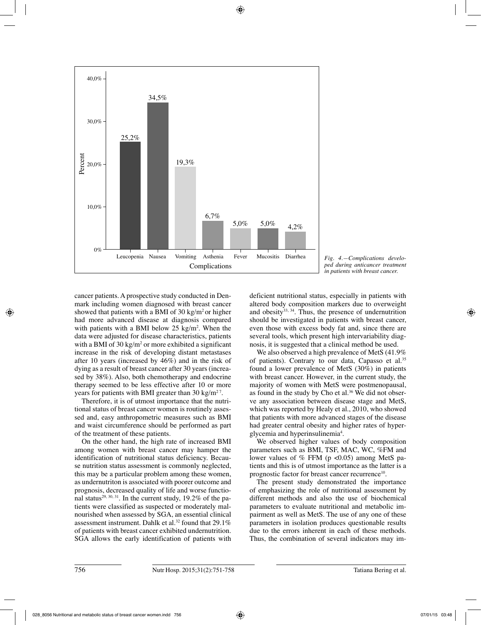

*ped during anticancer treatment in patients with breast cancer.*

cancer patients. A prospective study conducted in Denmark including women diagnosed with breast cancer showed that patients with a BMI of 30 kg/m<sup>2</sup> or higher had more advanced disease at diagnosis compared with patients with a BMI below  $25 \text{ kg/m}^2$ . When the data were adjusted for disease characteristics, patients with a BMI of 30  $\text{kg/m}^2$  or more exhibited a significant increase in the risk of developing distant metastases after 10 years (increased by 46%) and in the risk of dying as a result of breast cancer after 30 years (increased by 38%). Also, both chemotherapy and endocrine therapy seemed to be less effective after 10 or more years for patients with BMI greater than 30 kg/m<sup>27</sup>.

Therefore, it is of utmost importance that the nutritional status of breast cancer women is routinely assessed and, easy anthropometric measures such as BMI and waist circumference should be performed as part of the treatment of these patients.

On the other hand, the high rate of increased BMI among women with breast cancer may hamper the identification of nutritional status deficiency. Because nutrition status assessment is commonly neglected, this may be a particular problem among these women, as undernutriton is associated with poorer outcome and prognosis, decreased quality of life and worse functional status<sup>29, 30, 31</sup>. In the current study,  $19.2\%$  of the patients were classified as suspected or moderately malnourished when assessed by SGA, an essential clinical assessment instrument. Dahlk et al.<sup>32</sup> found that 29.1% of patients with breast cancer exhibited undernutrition. SGA allows the early identification of patients with deficient nutritional status, especially in patients with altered body composition markers due to overweight and obesity $33, 34$ . Thus, the presence of undernutrition should be investigated in patients with breast cancer, even those with excess body fat and, since there are several tools, which present high intervariability diagnosis, it is suggested that a clinical method be used.

We also observed a high prevalence of MetS (41.9% of patients). Contrary to our data, Capasso et al.35 found a lower prevalence of MetS (30%) in patients with breast cancer. However, in the current study, the majority of women with MetS were postmenopausal, as found in the study by Cho et al.<sup>36</sup> We did not observe any association between disease stage and MetS, which was reported by Healy et al., 2010, who showed that patients with more advanced stages of the disease had greater central obesity and higher rates of hyperglycemia and hyperinsulinemia<sup>4</sup>.

We observed higher values of body composition parameters such as BMI, TSF, MAC, WC, %FM and lower values of % FFM ( $p \le 0.05$ ) among MetS patients and this is of utmost importance as the latter is a prognostic factor for breast cancer recurrence<sup>10</sup>.

The present study demonstrated the importance of emphasizing the role of nutritional assessment by different methods and also the use of biochemical parameters to evaluate nutritional and metabolic impairment as well as MetS. The use of any one of these parameters in isolation produces questionable results due to the errors inherent in each of these methods. Thus, the combination of several indicators may im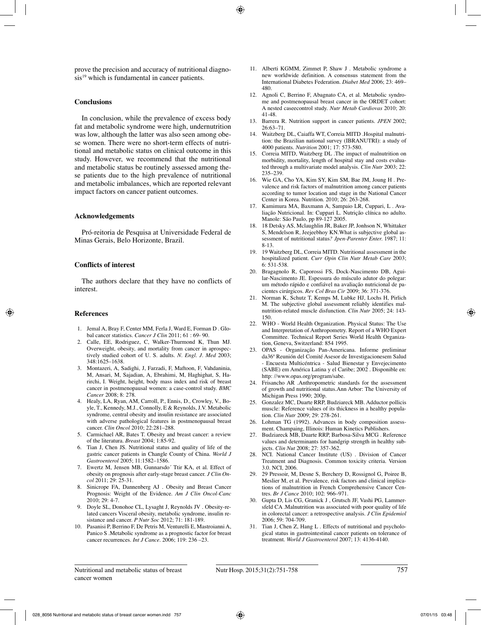prove the precision and accuracy of nutritional diagnosis<sup>19</sup> which is fundamental in cancer patients.

## **Conclusions**

In conclusion, while the prevalence of excess body fat and metabolic syndrome were high, undernutrition was low, although the latter was also seen among obese women. There were no short-term effects of nutritional and metabolic status on clinical outcome in this study. However, we recommend that the nutritional and metabolic status be routinely assessed among these patients due to the high prevalence of nutritional and metabolic imbalances, which are reported relevant impact factors on cancer patient outcomes.

## **Acknowledgements**

Pró-reitoria de Pesquisa at Universidade Federal de Minas Gerais, Belo Horizonte, Brazil.

## **Conflicts of interest**

The authors declare that they have no conflicts of interest.

#### **References**

- 1. Jemal A, Bray F, Center MM, Ferla J, Ward E, Forman D . Global cancer statistics. *Cancer J Clin* 2011; 61 : 69- 90.
- 2. Calle, EE, Rodriguez, C, Walker-Thurmond K, Thun MJ. Overweight, obesity, and mortality from cancer in aprospectively studied cohort of U. S. adults. *N. Engl. J. Med* 2003; 348:1625–1638.
- 3. Montazeri, A, Sadighi, J, Farzadi, F, Maftoon, F, Vahdaninia, M, Ansari, M, Sajadian, A, Ebrahimi, M, Haghighat, S, Harirchi, I. Weight, height, body mass index and risk of breast cancer in postmenopausal women: a case-control study. *BMC Cancer* 2008; 8: 278.
- 4. Healy, LA, Ryan, AM, Carroll, P., Ennis, D., Crowley, V., Boyle, T., Kennedy, M.J., Connolly, E & Reynolds, J.V. Metabolic syndrome, central obesity and insulin resistance are associated with adverse pathological features in postmenopausal breast cancer. *Clin Oncol* 2010; 22:281–288.
- 5. Carmichael AR, Bates T. Obesity and breast cancer: a review of the literatura. *Breast* 2004; 1:85-92.
- 6. Tian J, Chen JS. Nutritional status and quality of life of the gastric cancer patients in Changle County of China. *World J Gastroenterol* 2005; 11:1582–1586.
- 7. Ewertz M, Jensen MB, Gunnarsdo´ Ttir KA, et al. Effect of obesity on prognosis after early-stage breast cancer. *J Clin Oncol* 2011; 29: 25-31.
- 8. Sinicrope FA, Dannenberg AJ . Obesity and Breast Cancer Prognosis: Weight of the Evidence. *Am J Clin Oncol-Canc* 2010; 29: 4-7.
- 9. Doyle SL, Donohoe CL, Lysaght J, Reynolds JV . Obesity-related cancers Visceral obesity, metabolic syndrome, insulin resistance and cancer. *P Nutr Soc* 2012; 71: 181-189.
- 10. Pasanisi P, Berrino F, De Petris M, Venturelli E, Mastroianni A, Panico S .Metabolic syndrome as a prognostic factor for breast cancer recurrences. *Int J Cance*. 2006; 119: 236 –23.
- 11. Alberti KGMM, Zimmet P, Shaw J . Metabolic syndrome a new worldwide definition. A consensus statement from the International Diabetes Federation*. Diabet Med* 2006; 23: 469– 480.
- 12. Agnoli C, Berrino F, Abagnato CA, et al. Metabolic syndrome and postmenopausal breast cancer in the ORDET cohort: A nested caseecontrol study. *Nutr Metab Cardiovas* 2010; 20: 41-48.
- 13. Barrera R. Nutrition support in cancer patients. *JPEN* 2002; 26:63–71.
- 14. Waitzberg DL, Caiaffa WT, Correia MITD .Hospital malnutrition: the Brazilian national survey (IBRANUTRI): a study of 4000 patients. *Nutrition* 2001; 17: 573-580.
- 15. Correia MITD, Waitzberg DL .The impact of malnutrition on morbidity, mortality, length of hospital stay and costs evaluated through a multivariate model analysis. *Clin Nutr* 2003; 22: 235–239.
- 16. Wie GA, Cho YA, Kim SY, Kim SM, Bae JM, Joung H . Prevalence and risk factors of malnutrition among cancer patients according to tumor location and stage in the National Cancer Center in Korea. Nutrition. 2010; 26: 263-268.
- 17. Kamimura MA, Baxmann A, Sampaio LR, Cuppari, L . Avaliação Nutricional. In: Cuppari L. Nutrição clínica no adulto. Manole: São Paulo, pp 89-127 2005.
- 18. 18 Detsky AS, Mclaughlin JR, Baker JP, Jonhson N, Whittaker S, Mendelson R, Jeejeebhoy KN.What is subjective global assessment of nutritional status*? Jpen-Parenter Enter.* 1987; 11: 8-13.
- 19. 19 Waitzberg DL, Correia MITD. Nutritional assessment in the hospitalized patient. *Curr Opin Clin Nutr Metab Care* 2003; 6: 531-538.
- 20. Bragagnolo R, Caporossi FS, Dock-Nascimento DB, Aguilar-Nascimento JE. Espessura do músculo adutor do polegar: um método rápido e confiável na avaliação nutricional de pacientes cirúrgicos*. Rev Col Bras Cir* 2009; 36: 371-376.
- 21. Norman K, Schutz T, Kemps M, Lubke HJ, Lochs H, Pirlich M. The subjective global assessment reliably identifies malnutrition-related muscle disfunction. *Clin Nutr* 2005; 24: 143- 150.
- 22. WHO World Health Organization. Physical Status: The Use and Interpretation of Anthropometry. Report of a WHO Expert Committee. Technical Report Series World Health Organization, Geneva, Switzerland: 854 1995.
- 23. OPAS Organização Pan-Americana. Informe preliminar da36ª Reunión del Comité Asesor de Investigacionesem Salud - Encuesta Multicéntrica - Salud Bienestar y Envejecimento (SABE) em América Latina y el Caribe; 2002 . Disponible en: http: //www.opas.org/program/sabe.
- 24. Frisancho AR .Anthropometric standards for the assessment of growth and nutritional status.Ann Arbor: The University of Michigan Press 1990; 200p.
- 25. Gonzalez MC, Duarte RRP, Budziareck MB. Adductor pollicis muscle: Reference values of its thickness in a healthy population. *Clin Nutr* 2009; 29: 278-261.
- 26. Lohman TG (1992). Advances in body composition assessment. Champaing, Illinois: Human Kinetics Publishers.
- 27. Budziareck MB, Duarte RRP, Barbosa-Silva MCG . Reference values and determinants for handgrip strength in healthy subjects. *Clin Nut* 2008; 27: 357-362.
- 28. NCI. National Cancer Institute (US) . Division of Cancer Treatment and Diagnosis. Common toxicity criteria. Version 3.0. NCI, 2006.
- 29. 29 Pressoir, M, Desne S, Berchery D, Rossignol G, Poiree B, Meslier M, et al. Prevalence, risk factors and clinical implications of malnutrition in French Comprehensive Cancer Centres. *Br J Cance* 2010; 102: 966–971.
- 30. Gupta D, Lis CG, Granick J , Grutsch JF, Vashi PG, Lammersfeld CA .Malnutrition was associated with poor quality of life in colorectal cancer: a retrospective analysis. *J Clin Epidemiol* 2006; 59: 704-709.
- 31. Tian J, Chen Z, Hang L . Effects of nutritional and psychological status in gastrointestinal cancer patients on tolerance of treatment. *World J Gastroenterol* 2007; 13: 4136-4140.